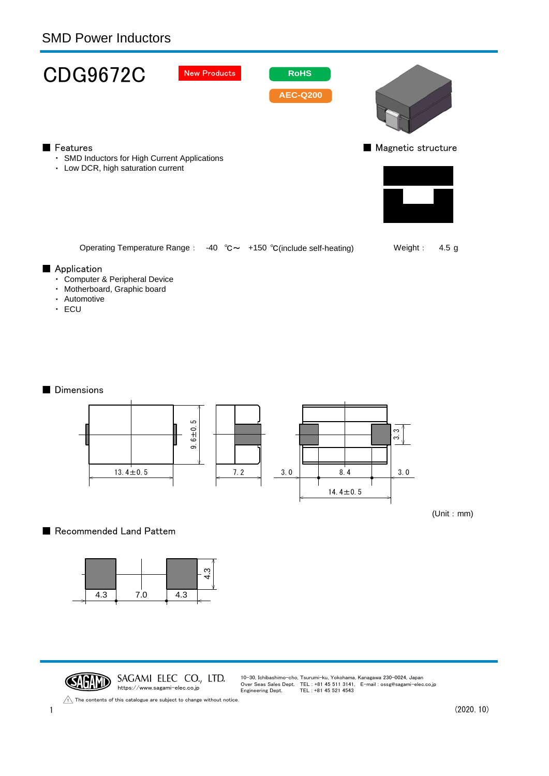## SMD Power Inductors



- ・ Motherboard, Graphic board
- ・ Automotive
- ・ ECU

#### ■ Dimensions



(Unit:mm)

### ■ Recommended Land Pattem



CAGAND SAGAMI ELEC CO., LTD. https://www.sagami-elec.co.jp

10-30, Ichibashimo-cho, Tsurumi-ku, Yokohama, Kanagawa 230-0024, Japan Over Seas Sales Dept. TEL : +81 45 511 3141, E-mail : ossg@sagami-elec.co.jp Engineering Dept. TEL : +81 45 521 4543

The contents of this catalogue are subject to change without notice.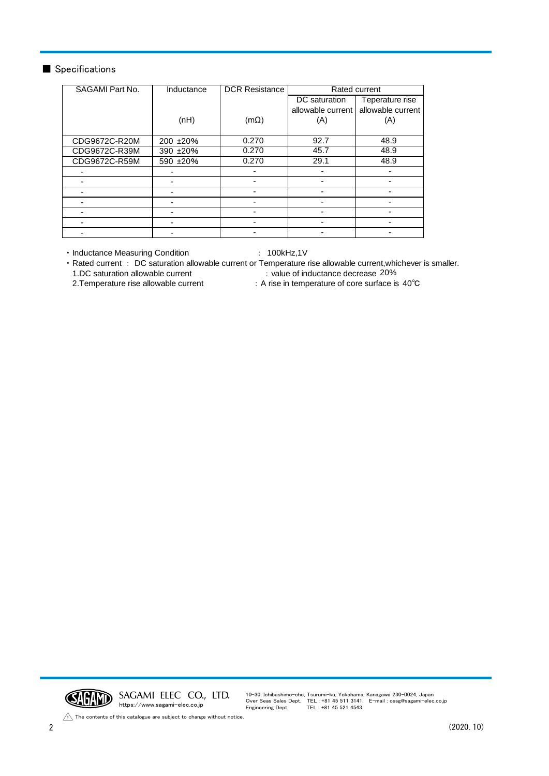#### ■ Specifications

| SAGAMI Part No. | Inductance | <b>DCR Resistance</b> | Rated current     |                   |
|-----------------|------------|-----------------------|-------------------|-------------------|
|                 |            |                       | DC saturation     | Teperature rise   |
|                 |            |                       | allowable current | allowable current |
|                 | (nH)       | $(m\Omega)$           | (A)               | (A)               |
|                 |            |                       |                   |                   |
| CDG9672C-R20M   | 200 ±20%   | 0.270                 | 92.7              | 48.9              |
| CDG9672C-R39M   | 390 ±20%   | 0.270                 | 45.7              | 48.9              |
| CDG9672C-R59M   | 590 ±20%   | 0.270                 | 29.1              | 48.9              |
|                 |            |                       |                   |                   |
|                 |            |                       |                   |                   |
|                 | ۰          |                       |                   |                   |
|                 |            |                       |                   |                   |
|                 |            |                       |                   |                   |
|                 |            |                       |                   |                   |
|                 | -          |                       |                   |                   |

・Inductance Measuring Condition : 100kHz,1V

・Rated current : DC saturation allowable current or Temperature rise allowable current,whichever is smaller.

1.DC saturation allowable current

2.Temperature rise allowable current  $\qquad \qquad : A$  rise in temperature of core surface is 40°C : value of inductance decrease 20%



The contents of this catalogue are subject to change without notice.